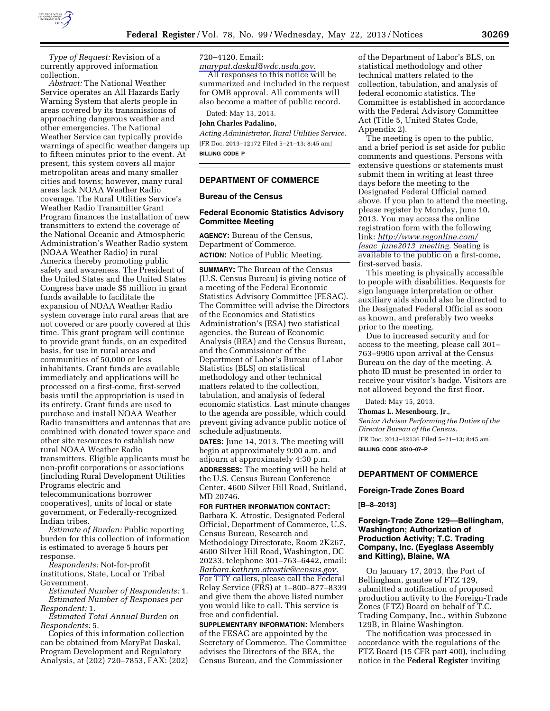

*Type of Request:* Revision of a currently approved information collection.

*Abstract:* The National Weather Service operates an All Hazards Early Warning System that alerts people in areas covered by its transmissions of approaching dangerous weather and other emergencies. The National Weather Service can typically provide warnings of specific weather dangers up to fifteen minutes prior to the event. At present, this system covers all major metropolitan areas and many smaller cities and towns; however, many rural areas lack NOAA Weather Radio coverage. The Rural Utilities Service's Weather Radio Transmitter Grant Program finances the installation of new transmitters to extend the coverage of the National Oceanic and Atmospheric Administration's Weather Radio system (NOAA Weather Radio) in rural America thereby promoting public safety and awareness. The President of the United States and the United States Congress have made \$5 million in grant funds available to facilitate the expansion of NOAA Weather Radio system coverage into rural areas that are not covered or are poorly covered at this time. This grant program will continue to provide grant funds, on an expedited basis, for use in rural areas and communities of 50,000 or less inhabitants. Grant funds are available immediately and applications will be processed on a first-come, first-served basis until the appropriation is used in its entirety. Grant funds are used to purchase and install NOAA Weather Radio transmitters and antennas that are combined with donated tower space and other site resources to establish new rural NOAA Weather Radio transmitters. Eligible applicants must be non-profit corporations or associations (including Rural Development Utilities Programs electric and telecommunications borrower cooperatives), units of local or state government, or Federally-recognized Indian tribes.

*Estimate of Burden:* Public reporting burden for this collection of information is estimated to average 5 hours per response.

*Respondents:* Not-for-profit institutions, State, Local or Tribal Government.

*Estimated Number of Respondents:* 1. *Estimated Number of Responses per Respondent:* 1.

*Estimated Total Annual Burden on Respondents:* 5.

Copies of this information collection can be obtained from MaryPat Daskal, Program Development and Regulatory Analysis, at (202) 720–7853, FAX: (202) 720–4120. Email:

*[marypat.daskal@wdc.usda.gov.](mailto:marypat.daskal@wdc.usda.gov)*  All responses to this notice will be summarized and included in the request for OMB approval. All comments will also become a matter of public record.

Dated: May 13, 2013.

# **John Charles Padalino,**

*Acting Administrator, Rural Utilities Service.*  [FR Doc. 2013–12172 Filed 5–21–13; 8:45 am] **BILLING CODE P** 

# **DEPARTMENT OF COMMERCE**

## **Bureau of the Census**

# **Federal Economic Statistics Advisory Committee Meeting**

**AGENCY:** Bureau of the Census, Department of Commerce. **ACTION:** Notice of Public Meeting.

**SUMMARY:** The Bureau of the Census (U.S. Census Bureau) is giving notice of a meeting of the Federal Economic Statistics Advisory Committee (FESAC). The Committee will advise the Directors of the Economics and Statistics Administration's (ESA) two statistical agencies, the Bureau of Economic Analysis (BEA) and the Census Bureau, and the Commissioner of the Department of Labor's Bureau of Labor Statistics (BLS) on statistical methodology and other technical matters related to the collection, tabulation, and analysis of federal economic statistics. Last minute changes to the agenda are possible, which could prevent giving advance public notice of schedule adjustments.

**DATES:** June 14, 2013. The meeting will begin at approximately 9:00 a.m. and adjourn at approximately 4:30 p.m.

**ADDRESSES:** The meeting will be held at the U.S. Census Bureau Conference Center, 4600 Silver Hill Road, Suitland, MD 20746.

# **FOR FURTHER INFORMATION CONTACT:**  Barbara K. Atrostic, Designated Federal

Official, Department of Commerce, U.S. Census Bureau, Research and Methodology Directorate, Room 2K267, 4600 Silver Hill Road, Washington, DC 20233, telephone 301–763–6442, email: *[Barbara.kathryn.atrostic@census.gov.](mailto:Barbara.kathryn.atrostic@census.gov)*  For TTY callers, please call the Federal Relay Service (FRS) at 1–800–877–8339 and give them the above listed number you would like to call. This service is free and confidential.

**SUPPLEMENTARY INFORMATION:** Members of the FESAC are appointed by the Secretary of Commerce. The Committee advises the Directors of the BEA, the Census Bureau, and the Commissioner

of the Department of Labor's BLS, on statistical methodology and other technical matters related to the collection, tabulation, and analysis of federal economic statistics. The Committee is established in accordance with the Federal Advisory Committee Act (Title 5, United States Code, Appendix 2).

The meeting is open to the public, and a brief period is set aside for public comments and questions. Persons with extensive questions or statements must submit them in writing at least three days before the meeting to the Designated Federal Official named above. If you plan to attend the meeting, please register by Monday, June 10, 2013. You may access the online registration form with the following link: *[http://www.regonline.com/](http://www.regonline.com/fesac_june2013_meeting) fesac*\_*[june2013](http://www.regonline.com/fesac_june2013_meeting)*\_*meeting.* Seating is available to the public on a first-come, first-served basis.

This meeting is physically accessible to people with disabilities. Requests for sign language interpretation or other auxiliary aids should also be directed to the Designated Federal Official as soon as known, and preferably two weeks prior to the meeting.

Due to increased security and for access to the meeting, please call 301– 763–9906 upon arrival at the Census Bureau on the day of the meeting. A photo ID must be presented in order to receive your visitor's badge. Visitors are not allowed beyond the first floor.

Dated: May 15, 2013.

#### **Thomas L. Mesenbourg, Jr.,**

*Senior Advisor Performing the Duties of the Director Bureau of the Census.* 

[FR Doc. 2013–12136 Filed 5–21–13; 8:45 am] **BILLING CODE 3510–07–P** 

# **DEPARTMENT OF COMMERCE**

#### **Foreign-Trade Zones Board**

#### **[B–8–2013]**

# **Foreign-Trade Zone 129—Bellingham, Washington; Authorization of Production Activity; T.C. Trading Company, Inc. (Eyeglass Assembly and Kitting), Blaine, WA**

On January 17, 2013, the Port of Bellingham, grantee of FTZ 129, submitted a notification of proposed production activity to the Foreign-Trade Zones (FTZ) Board on behalf of T.C. Trading Company, Inc., within Subzone 129B, in Blaine Washington.

The notification was processed in accordance with the regulations of the FTZ Board (15 CFR part 400), including notice in the **Federal Register** inviting